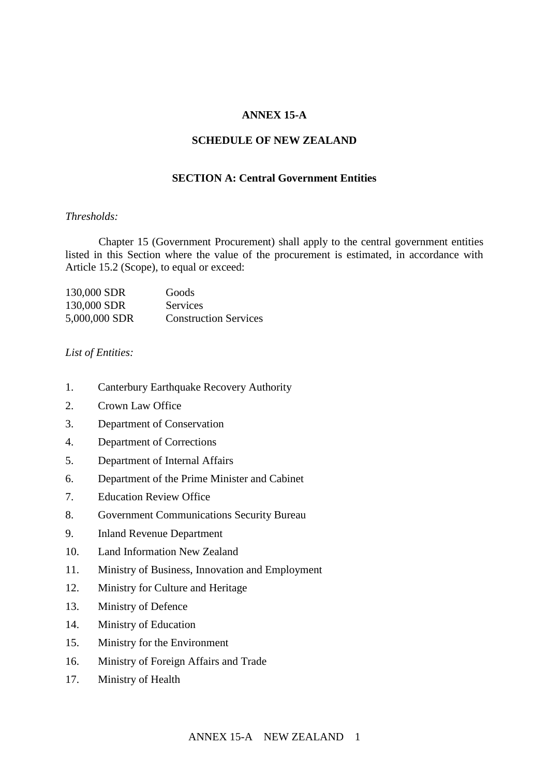### **ANNEX 15-A**

#### **SCHEDULE OF NEW ZEALAND**

## **SECTION A: Central Government Entities**

#### *Thresholds:*

Chapter 15 (Government Procurement) shall apply to the central government entities listed in this Section where the value of the procurement is estimated, in accordance with Article 15.2 (Scope), to equal or exceed:

| 130,000 SDR   | Goods                        |
|---------------|------------------------------|
| 130,000 SDR   | Services                     |
| 5,000,000 SDR | <b>Construction Services</b> |

#### *List of Entities:*

- 1. Canterbury Earthquake Recovery Authority
- 2. Crown Law Office
- 3. Department of Conservation
- 4. Department of Corrections
- 5. Department of Internal Affairs
- 6. Department of the Prime Minister and Cabinet
- 7. Education Review Office
- 8. Government Communications Security Bureau
- 9. Inland Revenue Department
- 10. Land Information New Zealand
- 11. Ministry of Business, Innovation and Employment
- 12. Ministry for Culture and Heritage
- 13. Ministry of Defence
- 14. Ministry of Education
- 15. Ministry for the Environment
- 16. Ministry of Foreign Affairs and Trade
- 17. Ministry of Health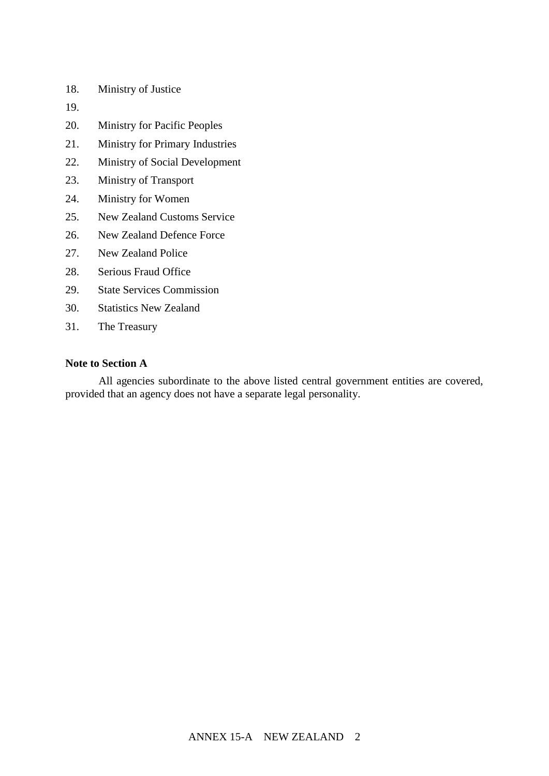- 18. Ministry of Justice
- $19.$
- 20. Ministry for Pacific Peoples
- 21. Ministry for Primary Industries
- 22. Ministry of Social Development
- 23. Ministry of Transport
- 24. Ministry for Women
- 25. New Zealand Customs Service
- 26. New Zealand Defence Force
- 27. New Zealand Police
- 28. Serious Fraud Office
- 29. State Services Commission
- 30. Statistics New Zealand
- 31. The Treasury

### **Note to Section A**

All agencies subordinate to the above listed central government entities are covered, provided that an agency does not have a separate legal personality.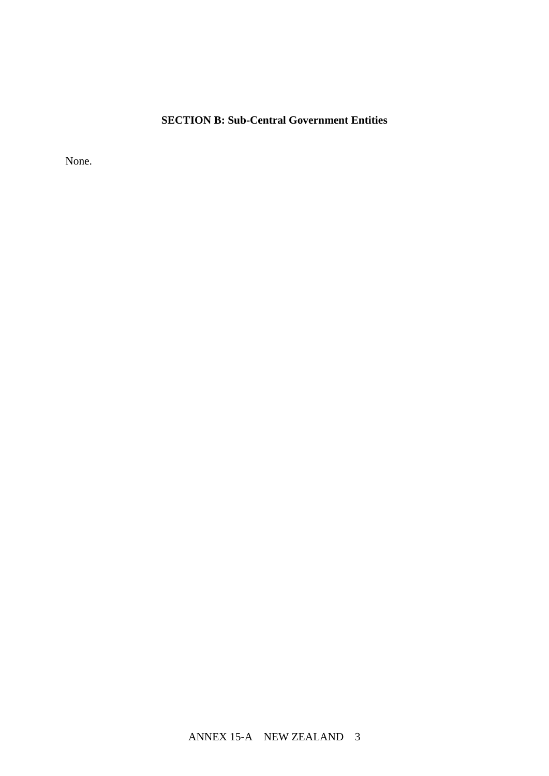# **SECTION B: Sub-Central Government Entities**

None.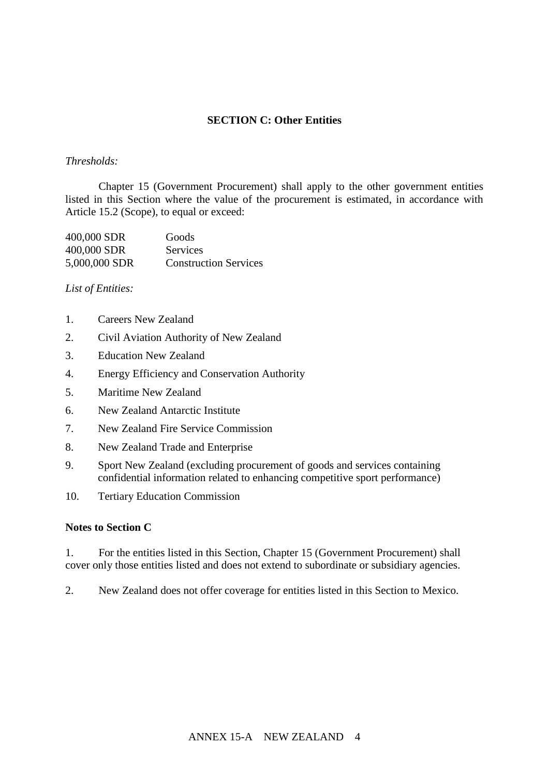### **SECTION C: Other Entities**

#### *Thresholds:*

Chapter 15 (Government Procurement) shall apply to the other government entities listed in this Section where the value of the procurement is estimated, in accordance with Article 15.2 (Scope), to equal or exceed:

| 400,000 SDR   | Goods                        |
|---------------|------------------------------|
| 400,000 SDR   | Services                     |
| 5,000,000 SDR | <b>Construction Services</b> |

### *List of Entities:*

- 1. Careers New Zealand
- 2. Civil Aviation Authority of New Zealand
- 3. Education New Zealand
- 4. Energy Efficiency and Conservation Authority
- 5. Maritime New Zealand
- 6. New Zealand Antarctic Institute
- 7. New Zealand Fire Service Commission
- 8. New Zealand Trade and Enterprise
- 9. Sport New Zealand (excluding procurement of goods and services containing confidential information related to enhancing competitive sport performance)
- 10. Tertiary Education Commission

#### **Notes to Section C**

1. For the entities listed in this Section, Chapter 15 (Government Procurement) shall cover only those entities listed and does not extend to subordinate or subsidiary agencies.

2. New Zealand does not offer coverage for entities listed in this Section to Mexico.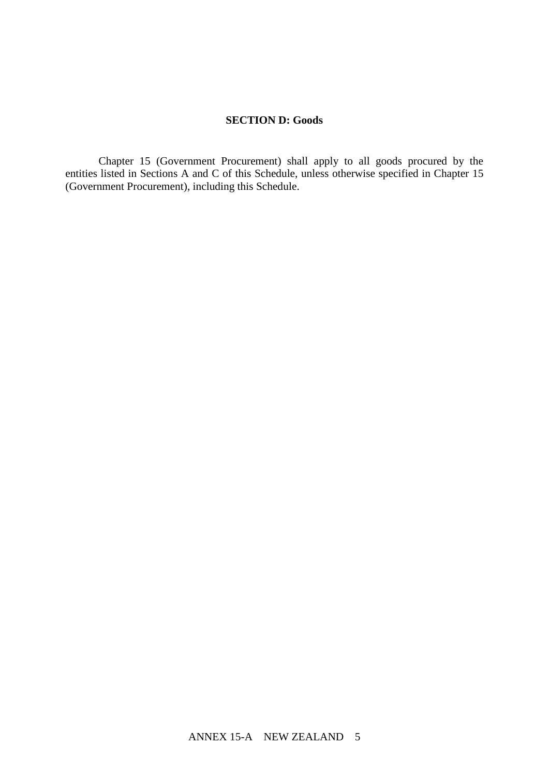## **SECTION D: Goods**

Chapter 15 (Government Procurement) shall apply to all goods procured by the entities listed in Sections A and C of this Schedule, unless otherwise specified in Chapter 15 (Government Procurement), including this Schedule.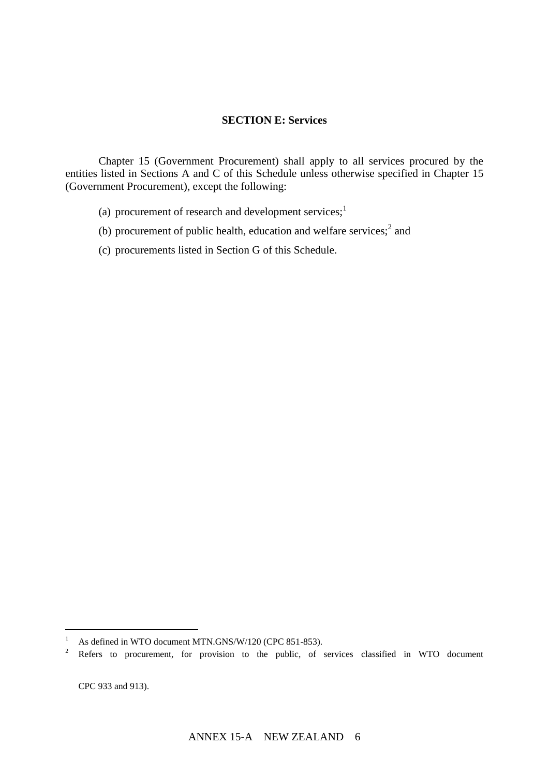#### **SECTION E: Services**

Chapter 15 (Government Procurement) shall apply to all services procured by the entities listed in Sections A and C of this Schedule unless otherwise specified in Chapter 15 (Government Procurement), except the following:

- (a) procurement of research and development services; $<sup>1</sup>$ </sup>
- (b) procurement of public health, education and welfare services; $<sup>2</sup>$  and</sup>
- (c) procurements listed in Section G of this Schedule.

CPC 933 and 913).

 $\overline{a}$ 

<sup>&</sup>lt;sup>1</sup> As defined in WTO document MTN.GNS/W/120 (CPC 851-853).

<sup>&</sup>lt;sup>2</sup> Refers to procurement, for provision to the public, of services classified in WTO document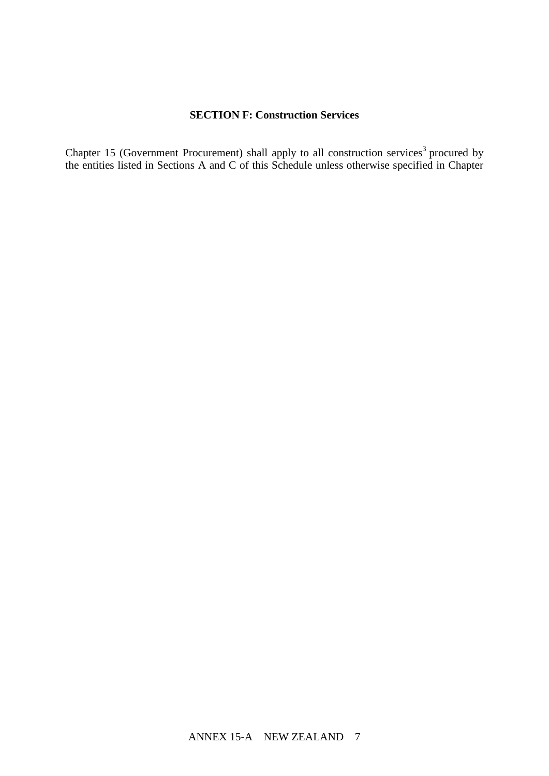# **SECTION F: Construction Services**

Chapter 15 (Government Procurement) shall apply to all construction services<sup>3</sup> procured by the entities listed in Sections A and C of this Schedule unless otherwise specified in Chapter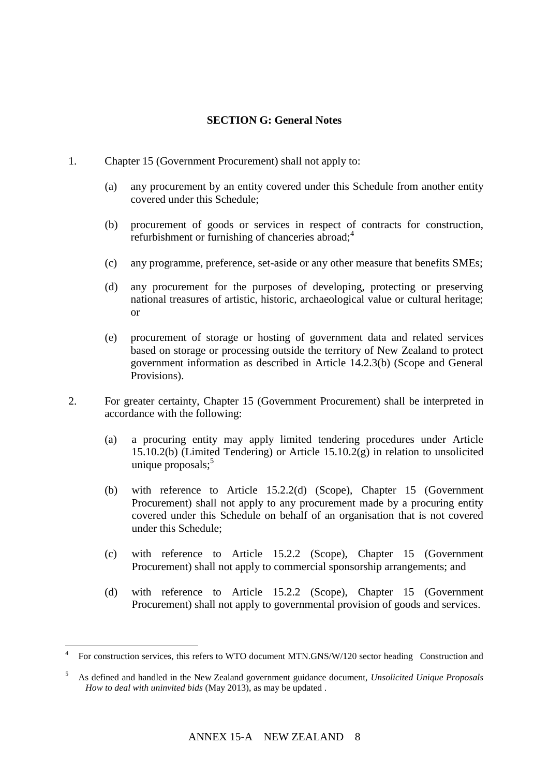### **SECTION G: General Notes**

- 1. Chapter 15 (Government Procurement) shall not apply to:
	- (a) any procurement by an entity covered under this Schedule from another entity covered under this Schedule;
	- (b) procurement of goods or services in respect of contracts for construction, refurbishment or furnishing of chanceries abroad;<sup>4</sup>
	- (c) any programme, preference, set-aside or any other measure that benefits SMEs;
	- (d) any procurement for the purposes of developing, protecting or preserving national treasures of artistic, historic, archaeological value or cultural heritage; or
	- (e) procurement of storage or hosting of government data and related services based on storage or processing outside the territory of New Zealand to protect government information as described in Article 14.2.3(b) (Scope and General Provisions).
- 2. For greater certainty, Chapter 15 (Government Procurement) shall be interpreted in accordance with the following:
	- (a) a procuring entity may apply limited tendering procedures under Article 15.10.2(b) (Limited Tendering) or Article 15.10.2(g) in relation to unsolicited unique proposals; 5
	- (b) with reference to Article 15.2.2(d) (Scope), Chapter 15 (Government Procurement) shall not apply to any procurement made by a procuring entity covered under this Schedule on behalf of an organisation that is not covered under this Schedule;
	- (c) with reference to Article 15.2.2 (Scope), Chapter 15 (Government Procurement) shall not apply to commercial sponsorship arrangements; and
	- (d) with reference to Article 15.2.2 (Scope), Chapter 15 (Government Procurement) shall not apply to governmental provision of goods and services.

 $\overline{a}$ 

<sup>4</sup> For construction services, this refers to WTO document MTN.GNS/W/120 sector heading Construction and

<sup>5</sup> As defined and handled in the New Zealand government guidance document, *Unsolicited Unique Proposals How to deal with uninvited bids* (May 2013), as may be updated .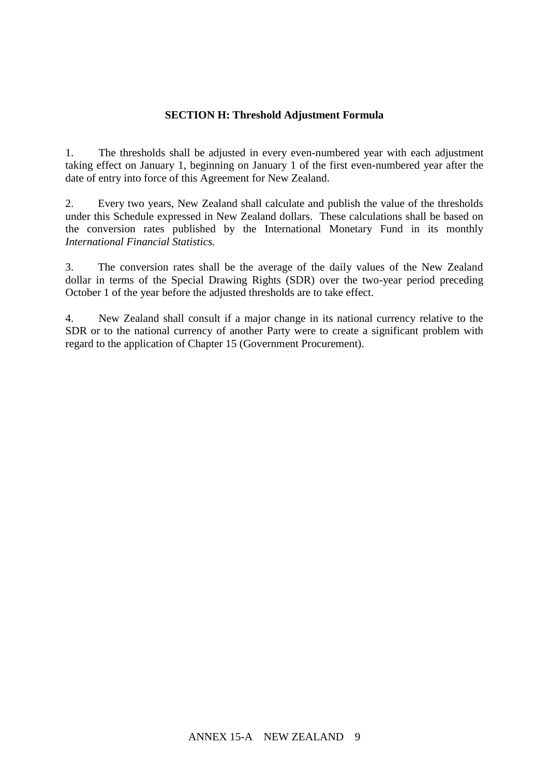### **SECTION H: Threshold Adjustment Formula**

1. The thresholds shall be adjusted in every even-numbered year with each adjustment taking effect on January 1, beginning on January 1 of the first even-numbered year after the date of entry into force of this Agreement for New Zealand.

2. Every two years, New Zealand shall calculate and publish the value of the thresholds under this Schedule expressed in New Zealand dollars. These calculations shall be based on the conversion rates published by the International Monetary Fund in its monthly *International Financial Statistics.*

3. The conversion rates shall be the average of the daily values of the New Zealand dollar in terms of the Special Drawing Rights (SDR) over the two-year period preceding October 1 of the year before the adjusted thresholds are to take effect.

4. New Zealand shall consult if a major change in its national currency relative to the SDR or to the national currency of another Party were to create a significant problem with regard to the application of Chapter 15 (Government Procurement).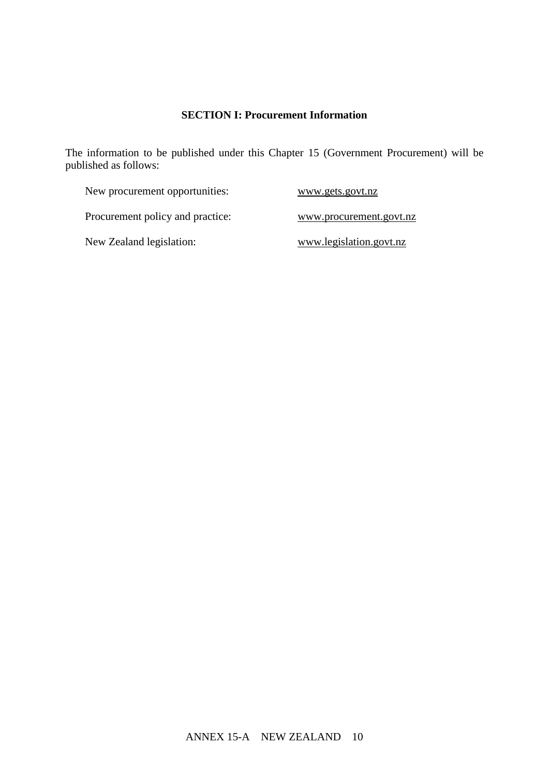# **SECTION I: Procurement Information**

The information to be published under this Chapter 15 (Government Procurement) will be published as follows:

| New procurement opportunities:   | www.gets.govt.nz        |
|----------------------------------|-------------------------|
| Procurement policy and practice: | www.procurement.govt.nz |
| New Zealand legislation:         | www.legislation.govt.nz |